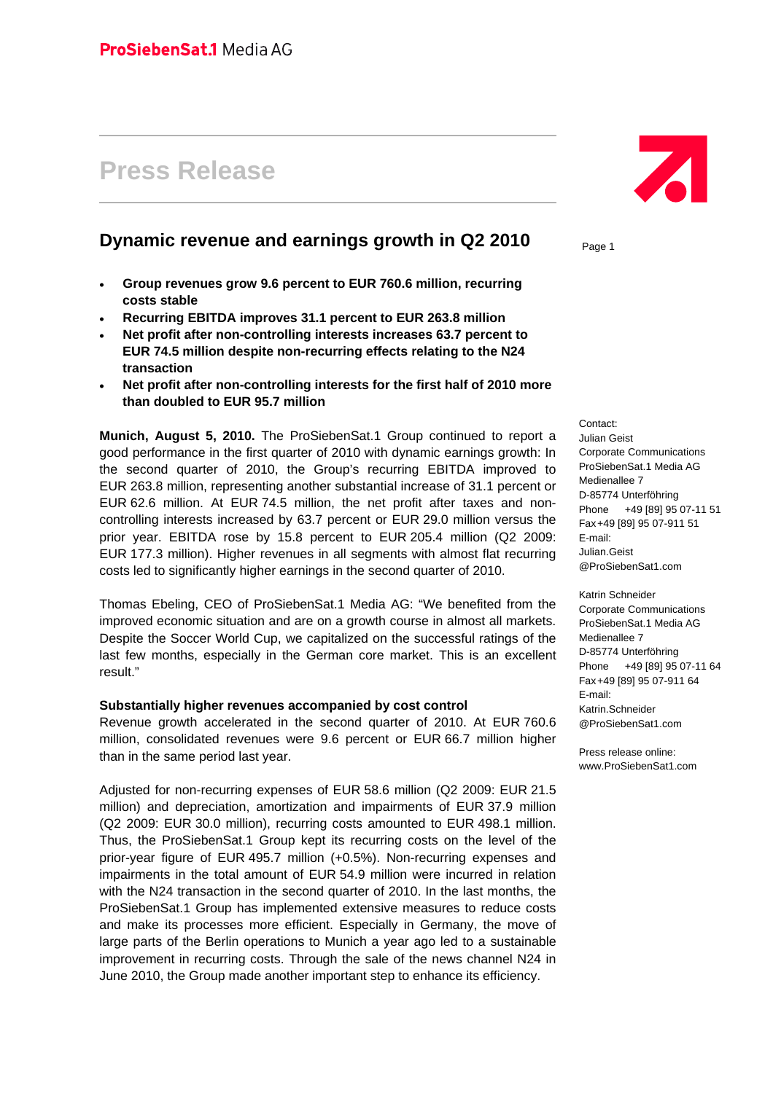# **Press Release**

## **Dynamic revenue and earnings growth in Q2 2010**

- **Group revenues grow 9.6 percent to EUR 760.6 million, recurring costs stable**
- **Recurring EBITDA improves 31.1 percent to EUR 263.8 million**
- **Net profit after non-controlling interests increases 63.7 percent to EUR 74.5 million despite non-recurring effects relating to the N24 transaction**
- **Net profit after non-controlling interests for the first half of 2010 more than doubled to EUR 95.7 million**

**Munich, August 5, 2010.** The ProSiebenSat.1 Group continued to report a good performance in the first quarter of 2010 with dynamic earnings growth: In the second quarter of 2010, the Group's recurring EBITDA improved to EUR 263.8 million, representing another substantial increase of 31.1 percent or EUR 62.6 million. At EUR 74.5 million, the net profit after taxes and noncontrolling interests increased by 63.7 percent or EUR 29.0 million versus the prior year. EBITDA rose by 15.8 percent to EUR 205.4 million (Q2 2009: EUR 177.3 million). Higher revenues in all segments with almost flat recurring costs led to significantly higher earnings in the second quarter of 2010.

Thomas Ebeling, CEO of ProSiebenSat.1 Media AG: "We benefited from the improved economic situation and are on a growth course in almost all markets. Despite the Soccer World Cup, we capitalized on the successful ratings of the last few months, especially in the German core market. This is an excellent result."

#### **Substantially higher revenues accompanied by cost control**

Revenue growth accelerated in the second quarter of 2010. At EUR 760.6 million, consolidated revenues were 9.6 percent or EUR 66.7 million higher than in the same period last year.

Adjusted for non-recurring expenses of EUR 58.6 million (Q2 2009: EUR 21.5 million) and depreciation, amortization and impairments of EUR 37.9 million (Q2 2009: EUR 30.0 million), recurring costs amounted to EUR 498.1 million. Thus, the ProSiebenSat.1 Group kept its recurring costs on the level of the prior-year figure of EUR 495.7 million (+0.5%). Non-recurring expenses and impairments in the total amount of EUR 54.9 million were incurred in relation with the N24 transaction in the second quarter of 2010. In the last months, the ProSiebenSat.1 Group has implemented extensive measures to reduce costs and make its processes more efficient. Especially in Germany, the move of large parts of the Berlin operations to Munich a year ago led to a sustainable improvement in recurring costs. Through the sale of the news channel N24 in June 2010, the Group made another important step to enhance its efficiency.



Page 1

Contact: Julian Geist Corporate Communications ProSiebenSat.1 Media AG Medienallee 7 D-85774 Unterföhring Phone +49 [89] 95 07-11 51 Fax +49 [89] 95 07-911 51 E-mail: Julian.Geist @ProSiebenSat1.com

Katrin Schneider Corporate Communications ProSiebenSat.1 Media AG Medienallee 7 D-85774 Unterföhring Phone +49 [89] 95 07-11 64 Fax +49 [89] 95 07-911 64 E-mail: Katrin.Schneider @ProSiebenSat1.com

Press release online: www.ProSiebenSat1.com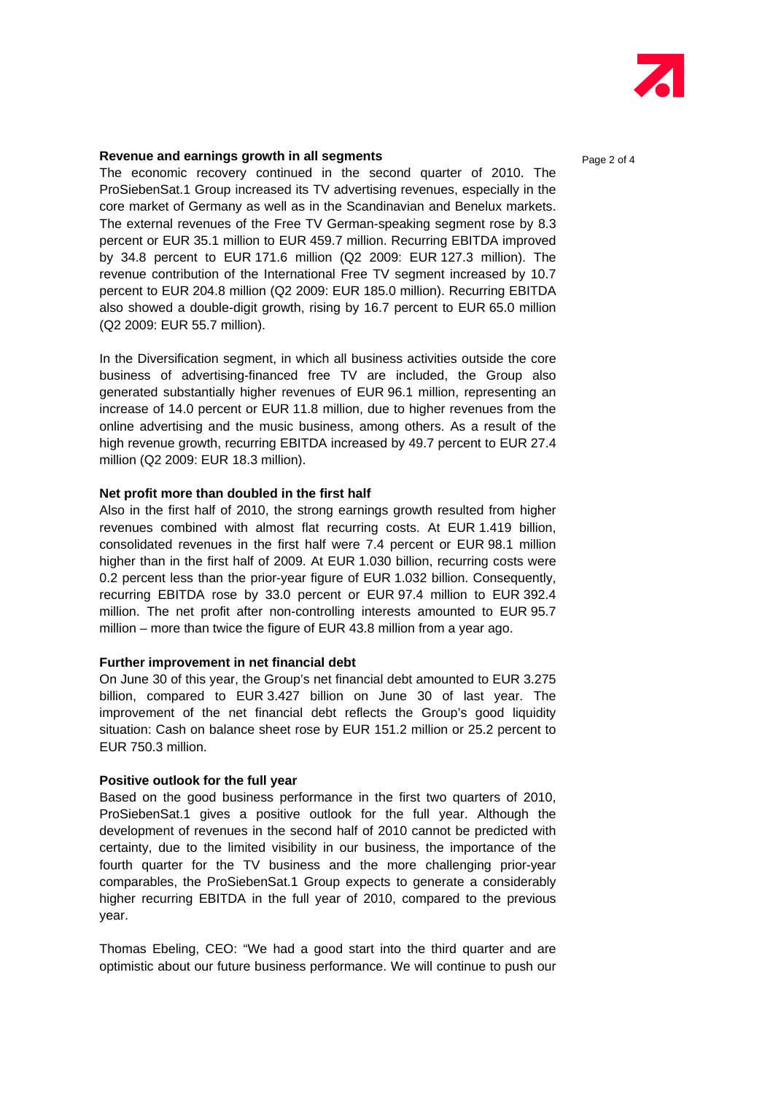

#### **Revenue and earnings growth in all segments Page 2 of 4** Page 2 of 4

The economic recovery continued in the second quarter of 2010. The ProSiebenSat.1 Group increased its TV advertising revenues, especially in the core market of Germany as well as in the Scandinavian and Benelux markets. The external revenues of the Free TV German-speaking segment rose by 8.3 percent or EUR 35.1 million to EUR 459.7 million. Recurring EBITDA improved by 34.8 percent to EUR 171.6 million (Q2 2009: EUR 127.3 million). The revenue contribution of the International Free TV segment increased by 10.7 percent to EUR 204.8 million (Q2 2009: EUR 185.0 million). Recurring EBITDA also showed a double-digit growth, rising by 16.7 percent to EUR 65.0 million (Q2 2009: EUR 55.7 million).

In the Diversification segment, in which all business activities outside the core business of advertising-financed free TV are included, the Group also generated substantially higher revenues of EUR 96.1 million, representing an increase of 14.0 percent or EUR 11.8 million, due to higher revenues from the online advertising and the music business, among others. As a result of the high revenue growth, recurring EBITDA increased by 49.7 percent to EUR 27.4 million (Q2 2009: EUR 18.3 million).

#### **Net profit more than doubled in the first half**

Also in the first half of 2010, the strong earnings growth resulted from higher revenues combined with almost flat recurring costs. At EUR 1.419 billion, consolidated revenues in the first half were 7.4 percent or EUR 98.1 million higher than in the first half of 2009. At EUR 1.030 billion, recurring costs were 0.2 percent less than the prior-year figure of EUR 1.032 billion. Consequently, recurring EBITDA rose by 33.0 percent or EUR 97.4 million to EUR 392.4 million. The net profit after non-controlling interests amounted to EUR 95.7 million – more than twice the figure of EUR 43.8 million from a year ago.

#### **Further improvement in net financial debt**

On June 30 of this year, the Group's net financial debt amounted to EUR 3.275 billion, compared to EUR 3.427 billion on June 30 of last year. The improvement of the net financial debt reflects the Group's good liquidity situation: Cash on balance sheet rose by EUR 151.2 million or 25.2 percent to EUR 750.3 million.

#### **Positive outlook for the full year**

Based on the good business performance in the first two quarters of 2010, ProSiebenSat.1 gives a positive outlook for the full year. Although the development of revenues in the second half of 2010 cannot be predicted with certainty, due to the limited visibility in our business, the importance of the fourth quarter for the TV business and the more challenging prior-year comparables, the ProSiebenSat.1 Group expects to generate a considerably higher recurring EBITDA in the full year of 2010, compared to the previous year.

Thomas Ebeling, CEO: "We had a good start into the third quarter and are optimistic about our future business performance. We will continue to push our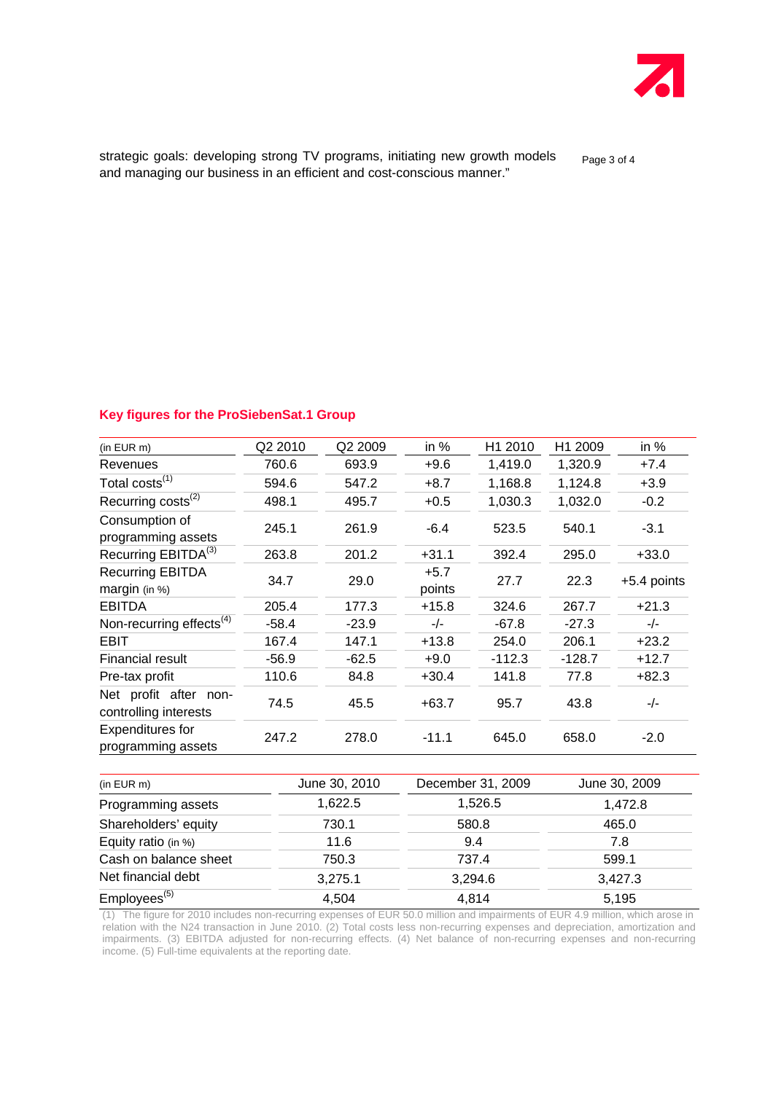

strategic goals: developing strong TV programs, initiating new growth models page 3 of 4 and managing our business in an efficient and cost-conscious manner."

#### **Key figures for the ProSiebenSat.1 Group**

| $(in$ EUR $m)$                                 | Q2 2010 | Q2 2009 | in %             | H1 2010  | H1 2009  | in $%$      |
|------------------------------------------------|---------|---------|------------------|----------|----------|-------------|
| Revenues                                       | 760.6   | 693.9   | $+9.6$           | 1,419.0  | 1,320.9  | $+7.4$      |
| Total costs <sup>(1)</sup>                     | 594.6   | 547.2   | $+8.7$           | 1,168.8  | 1,124.8  | $+3.9$      |
| Recurring costs <sup>(2)</sup>                 | 498.1   | 495.7   | $+0.5$           | 1,030.3  | 1,032.0  | $-0.2$      |
| Consumption of<br>programming assets           | 245.1   | 261.9   | $-6.4$           | 523.5    | 540.1    | $-3.1$      |
| Recurring EBITDA <sup>(3)</sup>                | 263.8   | 201.2   | $+31.1$          | 392.4    | 295.0    | $+33.0$     |
| <b>Recurring EBITDA</b><br>margin (in %)       | 34.7    | 29.0    | $+5.7$<br>points | 27.7     | 22.3     | +5.4 points |
| <b>EBITDA</b>                                  | 205.4   | 177.3   | $+15.8$          | 324.6    | 267.7    | $+21.3$     |
| Non-recurring effects <sup>(4)</sup>           | $-58.4$ | $-23.9$ | $-/-$            | $-67.8$  | $-27.3$  | $-/-$       |
| <b>EBIT</b>                                    | 167.4   | 147.1   | $+13.8$          | 254.0    | 206.1    | $+23.2$     |
| Financial result                               | $-56.9$ | $-62.5$ | $+9.0$           | $-112.3$ | $-128.7$ | $+12.7$     |
| Pre-tax profit                                 | 110.6   | 84.8    | $+30.4$          | 141.8    | 77.8     | $+82.3$     |
| Net profit after non-<br>controlling interests | 74.5    | 45.5    | $+63.7$          | 95.7     | 43.8     | -/-         |
| <b>Expenditures for</b><br>programming assets  | 247.2   | 278.0   | $-11.1$          | 645.0    | 658.0    | $-2.0$      |

| (in EUR m)               | June 30, 2010 | December 31, 2009 | June 30, 2009<br>1,472.8<br>465.0 |  |
|--------------------------|---------------|-------------------|-----------------------------------|--|
| Programming assets       | 1,622.5       | 1,526.5           |                                   |  |
| Shareholders' equity     | 730.1         | 580.8             |                                   |  |
| Equity ratio (in $%$ )   | 11.6          | 9.4               | 7.8                               |  |
| Cash on balance sheet    | 750.3         | 737.4             | 599.1                             |  |
| Net financial debt       | 3,275.1       | 3,294.6           | 3,427.3                           |  |
| Employees <sup>(5)</sup> | 4,504         | 4,814             | 5,195                             |  |

(1) The figure for 2010 includes non-recurring expenses of EUR 50.0 million and impairments of EUR 4.9 million, which arose in relation with the N24 transaction in June 2010. (2) Total costs less non-recurring expenses and depreciation, amortization and impairments. (3) EBITDA adjusted for non-recurring effects. (4) Net balance of non-recurring expenses and non-recurring income. (5) Full-time equivalents at the reporting date.